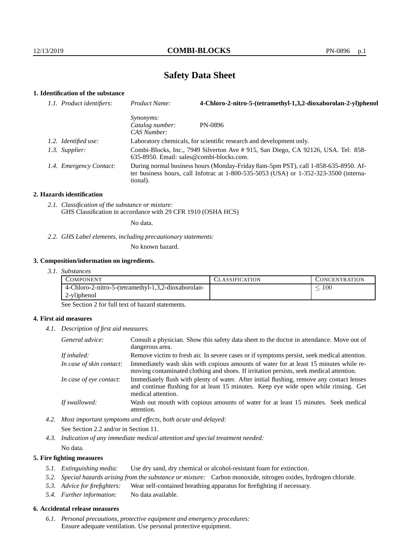# **Safety Data Sheet**

# **1. Identification of the substance**

| Product Name:                                                                                                                                                                               | 4-Chloro-2-nitro-5-(tetramethyl-1,3,2-dioxaborolan-2-yl)phenol      |
|---------------------------------------------------------------------------------------------------------------------------------------------------------------------------------------------|---------------------------------------------------------------------|
| <i>Synonyms:</i><br>Catalog number:<br>CAS Number:                                                                                                                                          | PN-0896                                                             |
|                                                                                                                                                                                             | Laboratory chemicals, for scientific research and development only. |
| Combi-Blocks, Inc., 7949 Silverton Ave # 915, San Diego, CA 92126, USA. Tel: 858-<br>$635-8950$ . Email: sales@combi-blocks.com.                                                            |                                                                     |
| During normal business hours (Monday-Friday 8am-5pm PST), call 1-858-635-8950. Af-<br>ter business hours, call Infotrac at $1-800-535-5053$ (USA) or $1-352-323-3500$ (interna-<br>tional). |                                                                     |
| 1.1. Product identifiers:<br>1.2. Identified use:<br>1.3. Supplier:<br>1.4. Emergency Contact:                                                                                              |                                                                     |

#### **2. Hazards identification**

*2.1. Classification of the substance or mixture:* GHS Classification in accordance with 29 CFR 1910 (OSHA HCS)

No data.

*2.2. GHS Label elements, including precautionary statements:*

No known hazard.

#### **3. Composition/information on ingredients.**

*3.1. Substances*

| COMPONENT                                           | CLASSIFICATION | <b>CONCENTRATION</b> |
|-----------------------------------------------------|----------------|----------------------|
| 4-Chloro-2-nitro-5-(tetramethyl-1,3,2-dioxaborolan- |                | 100                  |
| 2-yl)phenol                                         |                |                      |

See Section 2 for full text of hazard statements.

### **4. First aid measures**

*4.1. Description of first aid measures.*

| General advice:          | Consult a physician. Show this safety data sheet to the doctor in attendance. Move out of<br>dangerous area.                                                                                            |
|--------------------------|---------------------------------------------------------------------------------------------------------------------------------------------------------------------------------------------------------|
| If inhaled:              | Remove victim to fresh air. In severe cases or if symptoms persist, seek medical attention.                                                                                                             |
| In case of skin contact: | Immediately wash skin with copious amounts of water for at least 15 minutes while re-<br>moving contaminated clothing and shoes. If irritation persists, seek medical attention.                        |
| In case of eye contact:  | Immediately flush with plenty of water. After initial flushing, remove any contact lenses<br>and continue flushing for at least 15 minutes. Keep eye wide open while rinsing. Get<br>medical attention. |
| If swallowed:            | Wash out mouth with copious amounts of water for at least 15 minutes. Seek medical<br>attention.                                                                                                        |

*4.2. Most important symptoms and effects, both acute and delayed:* See Section 2.2 and/or in Section 11.

*4.3. Indication of any immediate medical attention and special treatment needed:* No data.

### **5. Fire fighting measures**

- *5.1. Extinguishing media:* Use dry sand, dry chemical or alcohol-resistant foam for extinction.
- *5.2. Special hazards arising from the substance or mixture:* Carbon monoxide, nitrogen oxides, hydrogen chloride.
- *5.3. Advice for firefighters:* Wear self-contained breathing apparatus for firefighting if necessary.
- *5.4. Further information:* No data available.

## **6. Accidental release measures**

*6.1. Personal precautions, protective equipment and emergency procedures:* Ensure adequate ventilation. Use personal protective equipment.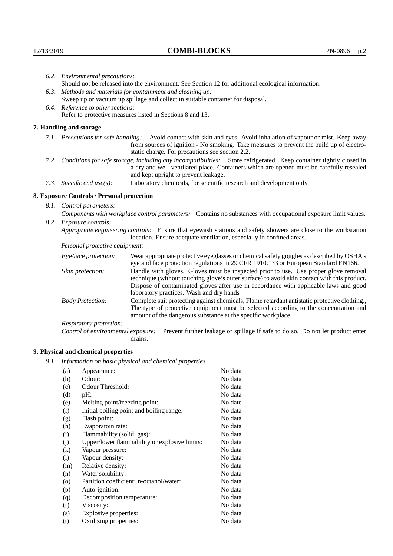| 6.2. Environmental precautions:                                                                               |                                                                                                                                                                                                                                                                                                                        |  |  |
|---------------------------------------------------------------------------------------------------------------|------------------------------------------------------------------------------------------------------------------------------------------------------------------------------------------------------------------------------------------------------------------------------------------------------------------------|--|--|
| Should not be released into the environment. See Section 12 for additional ecological information.            |                                                                                                                                                                                                                                                                                                                        |  |  |
| 6.3. Methods and materials for containment and cleaning up:                                                   |                                                                                                                                                                                                                                                                                                                        |  |  |
|                                                                                                               | Sweep up or vacuum up spillage and collect in suitable container for disposal.                                                                                                                                                                                                                                         |  |  |
| 6.4. Reference to other sections:                                                                             |                                                                                                                                                                                                                                                                                                                        |  |  |
|                                                                                                               | Refer to protective measures listed in Sections 8 and 13.                                                                                                                                                                                                                                                              |  |  |
| 7. Handling and storage                                                                                       |                                                                                                                                                                                                                                                                                                                        |  |  |
|                                                                                                               | 7.1. Precautions for safe handling: Avoid contact with skin and eyes. Avoid inhalation of vapour or mist. Keep away<br>from sources of ignition - No smoking. Take measures to prevent the build up of electro-<br>static charge. For precautions see section 2.2.                                                     |  |  |
|                                                                                                               | 7.2. Conditions for safe storage, including any incompatibilities: Store refrigerated. Keep container tightly closed in<br>a dry and well-ventilated place. Containers which are opened must be carefully resealed<br>and kept upright to prevent leakage.                                                             |  |  |
| 7.3. Specific end use(s):                                                                                     | Laboratory chemicals, for scientific research and development only.                                                                                                                                                                                                                                                    |  |  |
| 8. Exposure Controls / Personal protection                                                                    |                                                                                                                                                                                                                                                                                                                        |  |  |
| 8.1. Control parameters:                                                                                      |                                                                                                                                                                                                                                                                                                                        |  |  |
| Components with workplace control parameters: Contains no substances with occupational exposure limit values. |                                                                                                                                                                                                                                                                                                                        |  |  |
| 8.2. Exposure controls:                                                                                       |                                                                                                                                                                                                                                                                                                                        |  |  |
|                                                                                                               | Appropriate engineering controls: Ensure that eyewash stations and safety showers are close to the workstation<br>location. Ensure adequate ventilation, especially in confined areas.                                                                                                                                 |  |  |
| Personal protective equipment:                                                                                |                                                                                                                                                                                                                                                                                                                        |  |  |
| Eye/face protection:                                                                                          | Wear appropriate protective eyeglasses or chemical safety goggles as described by OSHA's<br>eye and face protection regulations in 29 CFR 1910.133 or European Standard EN166.                                                                                                                                         |  |  |
| Skin protection:                                                                                              | Handle with gloves. Gloves must be inspected prior to use. Use proper glove removal<br>technique (without touching glove's outer surface) to avoid skin contact with this product.<br>Dispose of contaminated gloves after use in accordance with applicable laws and good<br>laboratory practices. Wash and dry hands |  |  |

|                         | <i>Reportion</i> , <i>praeffects</i> . <i>Hash and ary hands</i>                            |
|-------------------------|---------------------------------------------------------------------------------------------|
| <b>Body Protection:</b> | Complete suit protecting against chemicals, Flame retardant antistatic protective clothing. |
|                         | The type of protective equipment must be selected according to the concentration and        |
|                         | amount of the dangerous substance at the specific workplace.                                |

Respiratory protection:

Control of environmental exposure: Prevent further leakage or spillage if safe to do so. Do not let product enter drains.

# **9. Physical and chemical properties**

*9.1. Information on basic physical and chemical properties*

| Appearance:                                   | No data  |
|-----------------------------------------------|----------|
| Odour:                                        | No data  |
| Odour Threshold:                              | No data  |
| pH:                                           | No data  |
| Melting point/freezing point:                 | No date. |
| Initial boiling point and boiling range:      | No data  |
| Flash point:                                  | No data  |
| Evaporatoin rate:                             | No data  |
| Flammability (solid, gas):                    | No data  |
| Upper/lower flammability or explosive limits: | No data  |
| Vapour pressure:                              | No data  |
| Vapour density:                               | No data  |
| Relative density:                             | No data  |
| Water solubility:                             | No data  |
| Partition coefficient: n-octanol/water:       | No data  |
| Auto-ignition:                                | No data  |
| Decomposition temperature:                    | No data  |
| Viscosity:                                    | No data  |
| Explosive properties:                         | No data  |
| Oxidizing properties:                         | No data  |
|                                               |          |